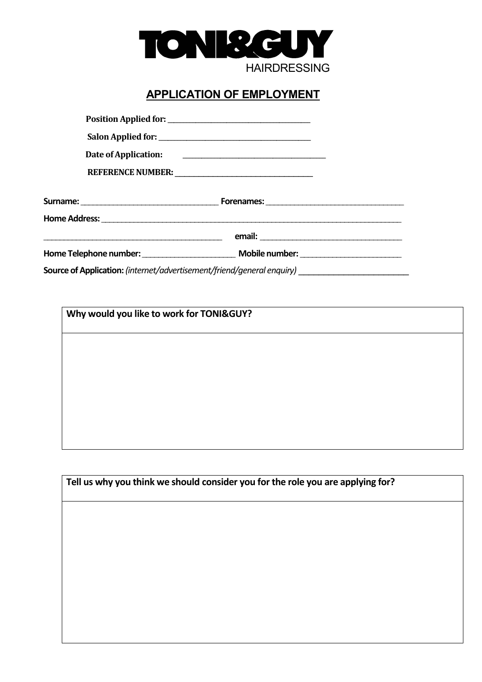

# **APPLICATION OF EMPLOYMENT**

| Corneo of Angelia etiam, Catamathanh cuttoria ant Citared Lagrand anguitar) |  |
|-----------------------------------------------------------------------------|--|

**Source of Application:** *(internet/advertisement/friend/general enquiry)* \_\_\_\_\_\_\_\_\_\_\_\_\_\_\_\_\_\_\_\_\_\_

**Why would you like to work for TONI&GUY?** 

**Tell us why you think we should consider you for the role you are applying for?**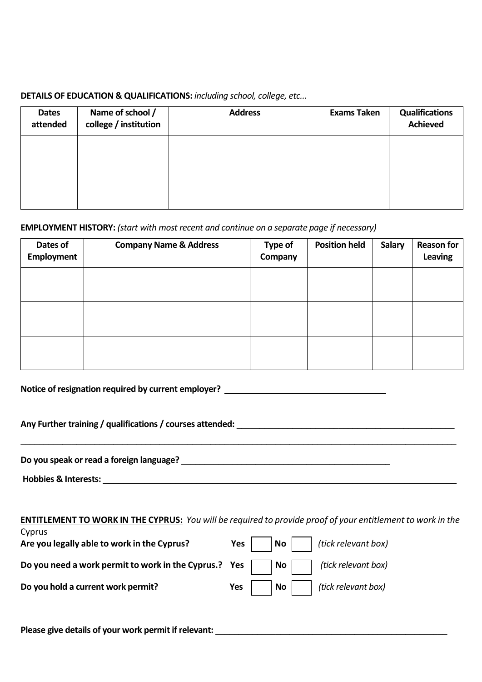## **DETAILS OF EDUCATION & QUALIFICATIONS:** *including school, college, etc...*

| <b>Dates</b><br>attended | Name of school /<br>college / institution | <b>Address</b> | <b>Exams Taken</b> | <b>Qualifications</b><br><b>Achieved</b> |
|--------------------------|-------------------------------------------|----------------|--------------------|------------------------------------------|
|                          |                                           |                |                    |                                          |
|                          |                                           |                |                    |                                          |
|                          |                                           |                |                    |                                          |

## **EMPLOYMENT HISTORY:** *(start with most recent and continue on a separate page if necessary)*

| Dates of<br>Employment | <b>Company Name &amp; Address</b> | <b>Type of</b><br>Company | <b>Position held</b> | <b>Salary</b> | <b>Reason for</b><br>Leaving |
|------------------------|-----------------------------------|---------------------------|----------------------|---------------|------------------------------|
|                        |                                   |                           |                      |               |                              |
|                        |                                   |                           |                      |               |                              |
|                        |                                   |                           |                      |               |                              |

Notice of resignation required by current employer? \_\_\_\_\_\_\_\_\_\_\_\_\_\_\_\_\_\_\_\_\_\_\_\_\_\_\_\_

Any Further training / qualifications / courses attended:

**Do you speak or read a foreign language?** \_\_\_\_\_\_\_\_\_\_\_\_\_\_\_\_\_\_\_\_\_\_\_\_\_\_\_\_\_\_\_\_\_\_\_\_\_\_\_\_\_\_\_\_\_

 **Hobbies & Interests:** \_\_\_\_\_\_\_\_\_\_\_\_\_\_\_\_\_\_\_\_\_\_\_\_\_\_\_\_\_\_\_\_\_\_\_\_\_\_\_\_\_\_\_\_\_\_\_\_\_\_\_\_\_\_\_\_\_\_\_\_\_\_\_\_\_\_\_\_

|  | <b>ENTITLEMENT TO WORK IN THE CYPRUS:</b> You will be required to provide proof of your entitlement to work in the |  |  |  |  |  |
|--|--------------------------------------------------------------------------------------------------------------------|--|--|--|--|--|
|--|--------------------------------------------------------------------------------------------------------------------|--|--|--|--|--|

 $\_$  ,  $\_$  ,  $\_$  ,  $\_$  ,  $\_$  ,  $\_$  ,  $\_$  ,  $\_$  ,  $\_$  ,  $\_$  ,  $\_$  ,  $\_$  ,  $\_$  ,  $\_$  ,  $\_$  ,  $\_$  ,  $\_$  ,  $\_$  ,  $\_$  ,  $\_$  ,  $\_$  ,  $\_$  ,  $\_$  ,  $\_$  ,  $\_$  ,  $\_$  ,  $\_$  ,  $\_$  ,  $\_$  ,  $\_$  ,  $\_$  ,  $\_$  ,  $\_$  ,  $\_$  ,  $\_$  ,  $\_$  ,  $\_$  ,

| Cyprus<br>Are you legally able to work in the Cyprus?                                      | <b>Yes</b> $\vert$ <b>No</b> $\vert$ (tick relevant box) |
|--------------------------------------------------------------------------------------------|----------------------------------------------------------|
| Do you need a work permit to work in the Cyprus.? Yes $\vert$   No     (tick relevant box) |                                                          |
| Do you hold a current work permit?                                                         | <b>Yes</b> $\vert$ <b>No</b> $\vert$ (tick relevant box) |

Please give details of your work permit if relevant: *Please give details of your work permit if relevant*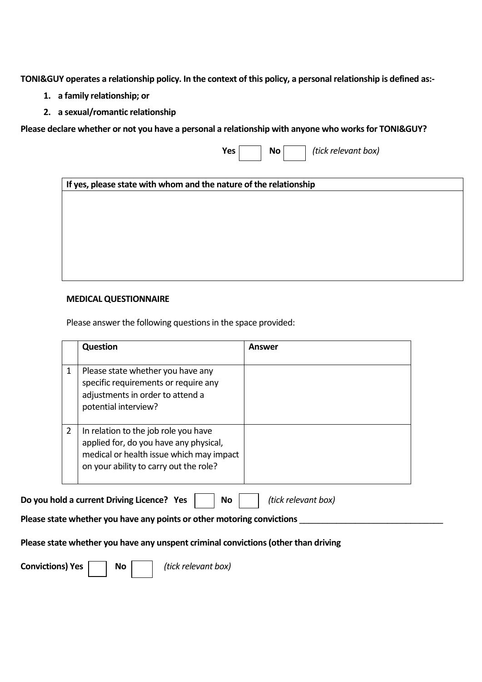**TONI&GUY operates a relationship policy. In the context of this policy, a personal relationship is defined as:-** 

- **1. a family relationship; or**
- **2. a sexual/romantic relationship**

**Please declare whether or not you have a personal a relationship with anyone who works for TONI&GUY?** 

**Yes No** *(tick relevant box)* 

**If yes, please state with whom and the nature of the relationship** 

#### **MEDICAL QUESTIONNAIRE**

Please answer the following questions in the space provided:

|   | <b>Question</b>                                                                                                                                                      | Answer |
|---|----------------------------------------------------------------------------------------------------------------------------------------------------------------------|--------|
| 1 | Please state whether you have any<br>specific requirements or require any<br>adjustments in order to attend a<br>potential interview?                                |        |
| 2 | In relation to the job role you have<br>applied for, do you have any physical,<br>medical or health issue which may impact<br>on your ability to carry out the role? |        |

| Do you hold a current Driving Licence? Yes |  |  | <b>No</b> |  | (tick relevant box) |
|--------------------------------------------|--|--|-----------|--|---------------------|
|--------------------------------------------|--|--|-----------|--|---------------------|

Please state whether you have any points or other motoring convictions

#### **Please state whether you have any unspent criminal convictions (other than driving**

**Convictions) Yes No | (tick relevant box)**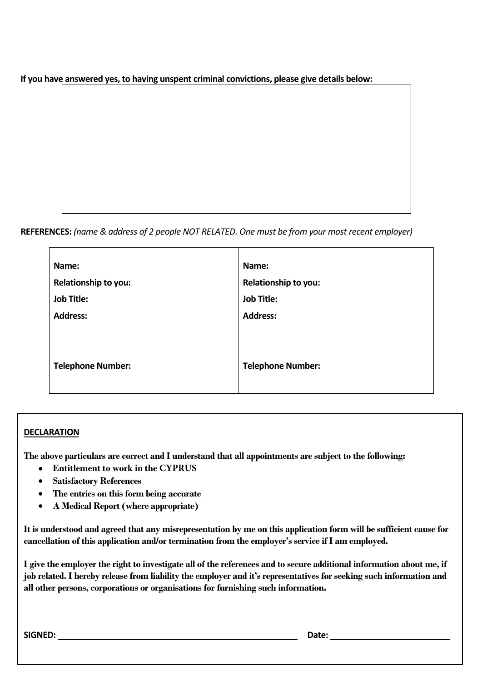**If you have answered yes, to having unspent criminal convictions, please give details below:** 

**REFERENCES:** *(name & address of 2 people NOT RELATED. One must be from your most recent employer)* 

| Name:                    |
|--------------------------|
| Relationship to you:     |
| <b>Job Title:</b>        |
| <b>Address:</b>          |
|                          |
|                          |
| <b>Telephone Number:</b> |
|                          |
|                          |

## **DECLARATION**

**The above particulars are correct and I understand that all appointments are subject to the following:** 

- **Entitlement to work in the CYPRUS**
- **Satisfactory References**
- **The entries on this form being accurate**
- **A Medical Report (where appropriate)**

**It is understood and agreed that any misrepresentation by me on this application form will be sufficient cause for cancellation of this application and/or termination from the employer's service if I am employed.** 

**I give the employer the right to investigate all of the references and to secure additional information about me, if job related. I hereby release from liability the employer and it's representatives for seeking such information and all other persons, corporations or organisations for furnishing such information.** 

**SIGNED:** \_\_\_\_\_\_\_\_\_\_\_\_\_\_\_\_\_\_\_\_\_\_\_\_\_\_\_\_\_\_\_\_\_\_\_\_\_\_\_\_\_\_\_\_\_\_ **Date:** \_\_\_\_\_\_\_\_\_\_\_\_\_\_\_\_\_\_\_\_\_\_\_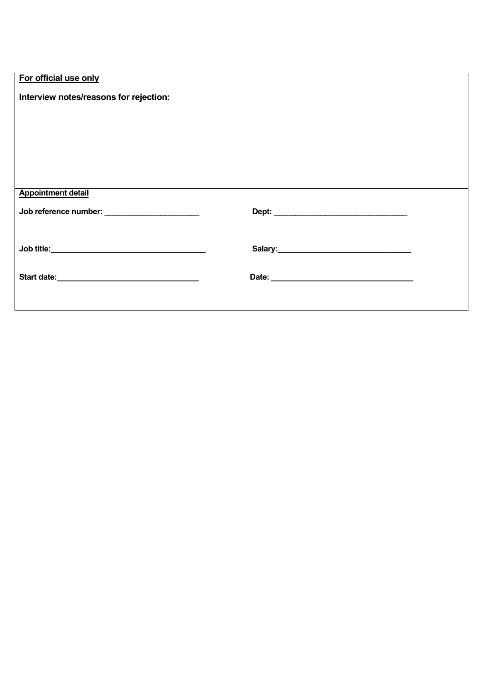| For official use only |  |
|-----------------------|--|
|                       |  |

 $\overline{\phantom{a}}$ 

| Interview notes/reasons for rejection:        |  |
|-----------------------------------------------|--|
|                                               |  |
|                                               |  |
|                                               |  |
|                                               |  |
|                                               |  |
|                                               |  |
|                                               |  |
| <b>Appointment detail</b>                     |  |
|                                               |  |
| Job reference number: _______________________ |  |
|                                               |  |
|                                               |  |
|                                               |  |
|                                               |  |
|                                               |  |
|                                               |  |
|                                               |  |
|                                               |  |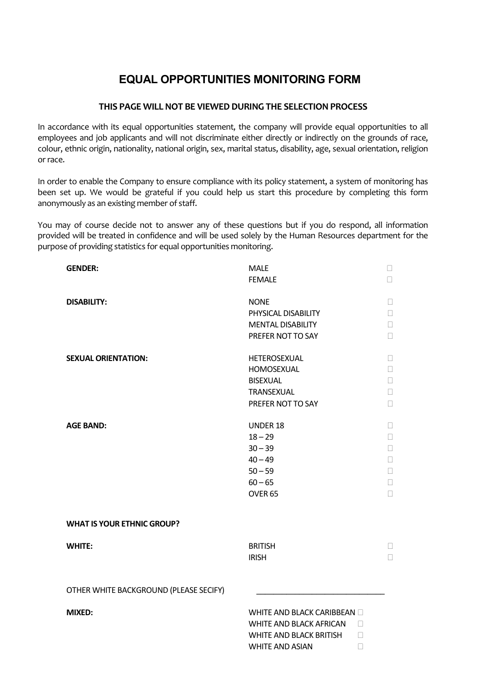## **EQUAL OPPORTUNITIES MONITORING FORM**

#### **THIS PAGE WILL NOT BE VIEWED DURING THE SELECTION PROCESS**

In accordance with its equal opportunities statement, the company will provide equal opportunities to all employees and job applicants and will not discriminate either directly or indirectly on the grounds of race, colour, ethnic origin, nationality, national origin, sex, marital status, disability, age, sexual orientation, religion or race.

In order to enable the Company to ensure compliance with its policy statement, a system of monitoring has been set up. We would be grateful if you could help us start this procedure by completing this form anonymously as an existing member of staff.

You may of course decide not to answer any of these questions but if you do respond, all information provided will be treated in confidence and will be used solely by the Human Resources department for the purpose of providing statistics for equal opportunities monitoring.

| <b>GENDER:</b>                         | <b>MALE</b>                    |
|----------------------------------------|--------------------------------|
|                                        | <b>FEMALE</b>                  |
|                                        |                                |
| <b>DISABILITY:</b>                     | <b>NONE</b>                    |
|                                        | PHYSICAL DISABILITY            |
|                                        | <b>MENTAL DISABILITY</b>       |
|                                        | PREFER NOT TO SAY              |
| <b>SEXUAL ORIENTATION:</b>             | HETEROSEXUAL                   |
|                                        | HOMOSEXUAL                     |
|                                        | <b>BISEXUAL</b>                |
|                                        | TRANSEXUAL                     |
|                                        | PREFER NOT TO SAY              |
|                                        |                                |
| <b>AGE BAND:</b>                       | <b>UNDER 18</b>                |
|                                        | $18 - 29$                      |
|                                        | $30 - 39$                      |
|                                        | $40 - 49$                      |
|                                        | $50 - 59$                      |
|                                        | $60 - 65$                      |
|                                        | OVER <sub>65</sub>             |
|                                        |                                |
| <b>WHAT IS YOUR ETHNIC GROUP?</b>      |                                |
|                                        |                                |
| <b>WHITE:</b>                          | <b>BRITISH</b>                 |
|                                        | <b>IRISH</b>                   |
|                                        |                                |
|                                        |                                |
| OTHER WHITE BACKGROUND (PLEASE SECIFY) |                                |
|                                        |                                |
| <b>MIXED:</b>                          | WHITE AND BLACK CARIBBEAN      |
|                                        | WHITE AND BLACK AFRICAN        |
|                                        | <b>WHITE AND BLACK BRITISH</b> |
|                                        | <b>WHITE AND ASIAN</b>         |
|                                        |                                |